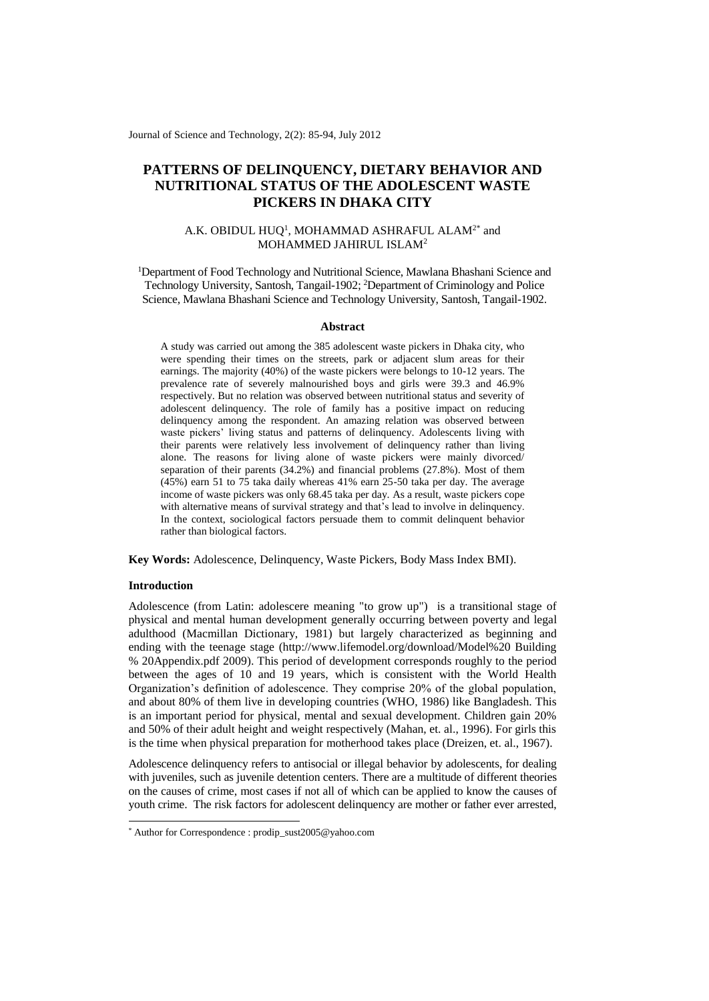Journal of Science and Technology, 2(2): 85-94, July 2012

# **PATTERNS OF DELINQUENCY, DIETARY BEHAVIOR AND NUTRITIONAL STATUS OF THE ADOLESCENT WASTE PICKERS IN DHAKA CITY**

# A.K. OBIDUL  $HUQ<sup>1</sup>$ , MOHAMMAD ASHRAFUL ALAM<sup>2\*</sup> and MOHAMMED JAHIRUL ISLAM<sup>2</sup>

<sup>1</sup>Department of Food Technology and Nutritional Science, Mawlana Bhashani Science and Technology University, Santosh, Tangail-1902; <sup>2</sup>Department of Criminology and Police Science, Mawlana Bhashani Science and Technology University, Santosh, Tangail-1902.

## **Abstract**

A study was carried out among the 385 adolescent waste pickers in Dhaka city, who were spending their times on the streets, park or adjacent slum areas for their earnings. The majority (40%) of the waste pickers were belongs to 10-12 years. The prevalence rate of severely malnourished boys and girls were 39.3 and 46.9% respectively. But no relation was observed between nutritional status and severity of adolescent delinquency. The role of family has a positive impact on reducing delinquency among the respondent. An amazing relation was observed between waste pickers' living status and patterns of delinquency. Adolescents living with their parents were relatively less involvement of delinquency rather than living alone. The reasons for living alone of waste pickers were mainly divorced/ separation of their parents (34.2%) and financial problems (27.8%). Most of them (45%) earn 51 to 75 taka daily whereas 41% earn 25-50 taka per day. The average income of waste pickers was only 68.45 taka per day. As a result, waste pickers cope with alternative means of survival strategy and that's lead to involve in delinquency. In the context, sociological factors persuade them to commit delinquent behavior rather than biological factors.

**Key Words:** Adolescence, Delinquency, Waste Pickers, Body Mass Index BMI).

# **Introduction**

-

Adolescence (from [Latin:](http://en.wikipedia.org/wiki/Latin_language) adolescere meaning "to grow up") is a transitional stage of physical and mental [human development](http://en.wikipedia.org/wiki/Human_development_%28biology%29) generally occurring between [poverty](http://en.wikipedia.org/wiki/Puberty) and legal [adulthood](http://en.wikipedia.org/wiki/Adult) (Macmillan Dictionary, 1981) but largely characterized as beginning and ending with the teenage stage [\(http://www.lifemodel.org/download/Model%20 Building](http://www.lifemodel.org/download/Model%20%20Building%20%25%2020Appendix.pdf)  [% 20Appendix.pdf](http://www.lifemodel.org/download/Model%20%20Building%20%25%2020Appendix.pdf) 2009). This period of development corresponds roughly to the period between the ages of 10 and 19 years, which is consistent with the World Health Organization's definition of adolescence. They comprise 20% of the global population, and about 80% of them live in developing countries (WHO, 1986) like Bangladesh. This is an important period for physical, mental and sexual development. Children gain 20% and 50% of their adult height and weight respectively (Mahan, et. al., 1996). For girls this is the time when physical preparation for motherhood takes place (Dreizen, et. al., 1967).

Adolescence delinquency refers to antisocial or illegal behavior by adolescents, for dealing with juveniles, such as juvenile detention centers. There are a multitude of different [theories](http://en.wikipedia.org/wiki/Criminology)  [on the causes of crime,](http://en.wikipedia.org/wiki/Criminology) most cases if not all of which can be applied to know the causes of youth crime. The risk factors for adolescent delinquency are mother or father ever arrested,

<sup>\*</sup> Author for Correspondence : prodip\_sust2005@yahoo.com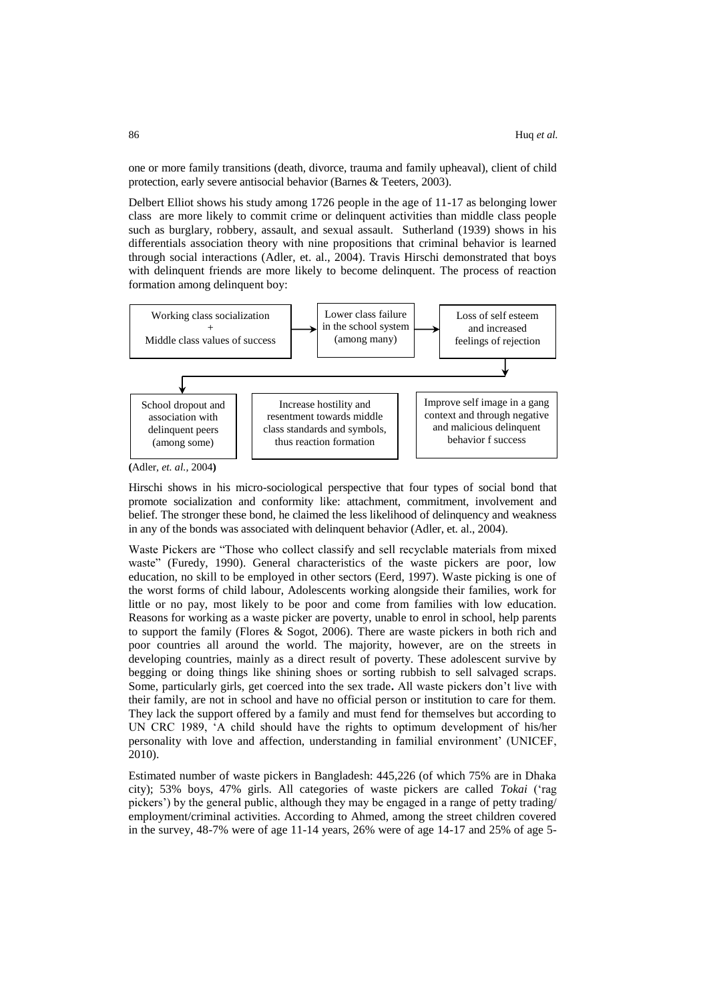one or more family transitions (death, divorce, trauma and family upheaval), client of child protection, early severe antisocial behavior (Barnes & Teeters, 2003).

Delbert Elliot shows his study among 1726 people in the age of 11-17 as belonging lower class are more likely to commit crime or delinquent activities than middle class people such as burglary, robbery, assault, and sexual assault. Sutherland (1939) shows in his differentials association theory with nine propositions that criminal behavior is learned through social interactions (Adler, et. al., 2004). Travis Hirschi demonstrated that boys with delinquent friends are more likely to become delinquent. The process of reaction formation among delinquent boy:



**(**Adler, *et. al.,* 2004**)**

Hirschi shows in his micro-sociological perspective that four types of social bond that promote socialization and conformity like: attachment, commitment, involvement and belief. The stronger these bond, he claimed the less likelihood of delinquency and weakness in any of the bonds was associated with delinquent behavior (Adler, et. al., 2004).

Waste Pickers are "Those who collect classify and sell recyclable materials from mixed waste" (Furedy, 1990). General characteristics of the waste pickers are poor, low education, no skill to be employed in other sectors (Eerd, 1997). Waste picking is one of the worst forms of child labour, Adolescents working alongside their families, work for little or no pay, most likely to be poor and come from families with low education. Reasons for working as a waste picker are poverty, unable to enrol in school, help parents to support the family (Flores & Sogot, 2006). There are waste pickers in both rich and poor countries all around the world. The majority, however, are on the streets in developing countries, mainly as a direct result of poverty. These adolescent survive by begging or doing things like shining shoes or sorting rubbish to sell salvaged scraps. Some, particularly girls, get coerced into the sex trade**.** All waste pickers don't live with their family, are not in school and have no official person or institution to care for them. They lack the support offered by a family and must fend for themselves but according to UN CRC 1989, 'A child should have the rights to optimum development of his/her personality with love and affection, understanding in familial environment' (UNICEF, 2010).

Estimated number of waste pickers in Bangladesh: 445,226 (of which 75% are in Dhaka city); 53% boys, 47% girls. All categories of waste pickers are called *Tokai* ('rag pickers') by the general public, although they may be engaged in a range of petty trading/ employment/criminal activities. According to Ahmed, among the street children covered in the survey, 48-7% were of age 11-14 years, 26% were of age 14-17 and 25% of age 5-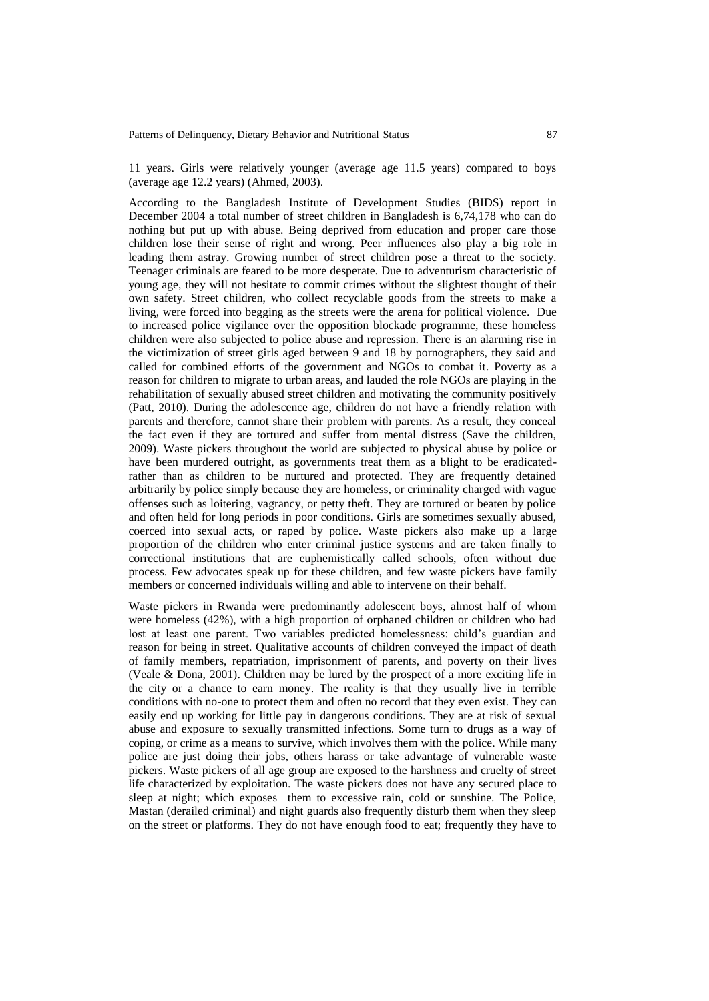11 years. Girls were relatively younger (average age 11.5 years) compared to boys (average age 12.2 years) (Ahmed, 2003).

According to the Bangladesh Institute of Development Studies (BIDS) report in December 2004 a total number of street children in Bangladesh is 6,74,178 who can do nothing but put up with abuse. Being deprived from education and proper care those children lose their sense of right and wrong. Peer influences also play a big role in leading them astray. Growing number of street children pose a threat to the society. Teenager criminals are feared to be more desperate. Due to adventurism characteristic of young age, they will not hesitate to commit crimes without the slightest thought of their own safety. Street children, who collect recyclable goods from the streets to make a living, were forced into begging as the streets were the arena for political violence. Due to increased police vigilance over the opposition blockade programme, these homeless children were also subjected to police abuse and repression. There is an alarming rise in the victimization of street girls aged between 9 and 18 by pornographers, they said and called for combined efforts of the government and NGOs to combat it. Poverty as a reason for children to migrate to urban areas, and lauded the role NGOs are playing in the rehabilitation of sexually abused street children and motivating the community positively (Patt, 2010). During the adolescence age, children do not have a friendly relation with parents and therefore, cannot share their problem with parents. As a result, they conceal the fact even if they are tortured and suffer from mental distress (Save the children, 2009). Waste pickers throughout the world are subjected to physical abuse by police or have been murdered outright, as governments treat them as a blight to be eradicatedrather than as children to be nurtured and protected. They are frequently detained arbitrarily by police simply because they are homeless, or criminality charged with vague offenses such as loitering, vagrancy, or petty theft. They are tortured or beaten by police and often held for long periods in poor conditions. Girls are sometimes sexually abused, coerced into sexual acts, or raped by police. Waste pickers also make up a large proportion of the children who enter criminal justice systems and are taken finally to correctional institutions that are euphemistically called schools, often without due process. Few advocates speak up for these children, and few waste pickers have family members or concerned individuals willing and able to intervene on their behalf.

Waste pickers in Rwanda were predominantly adolescent boys, almost half of whom were homeless (42%), with a high proportion of orphaned children or children who had lost at least one parent. Two variables predicted homelessness: child's guardian and reason for being in street. Qualitative accounts of children conveyed the impact of death of family members, repatriation, imprisonment of parents, and poverty on their lives (Veale & Dona, 2001). Children may be lured by the prospect of a more exciting life in the city or a chance to earn money. The reality is that they usually live in terrible conditions with no-one to protect them and often no record that they even exist. They can easily end up working for little pay in dangerous conditions. They are at risk of sexual abuse and exposure to sexually transmitted infections. Some turn to drugs as a way of coping, or crime as a means to survive, which involves them with the police. While many police are just doing their jobs, others harass or take advantage of vulnerable waste pickers. Waste pickers of all age group are exposed to the harshness and cruelty of street life characterized by exploitation. The waste pickers does not have any secured place to sleep at night; which exposes them to excessive rain, cold or sunshine. The Police, Mastan (derailed criminal) and night guards also frequently disturb them when they sleep on the street or platforms. They do not have enough food to eat; frequently they have to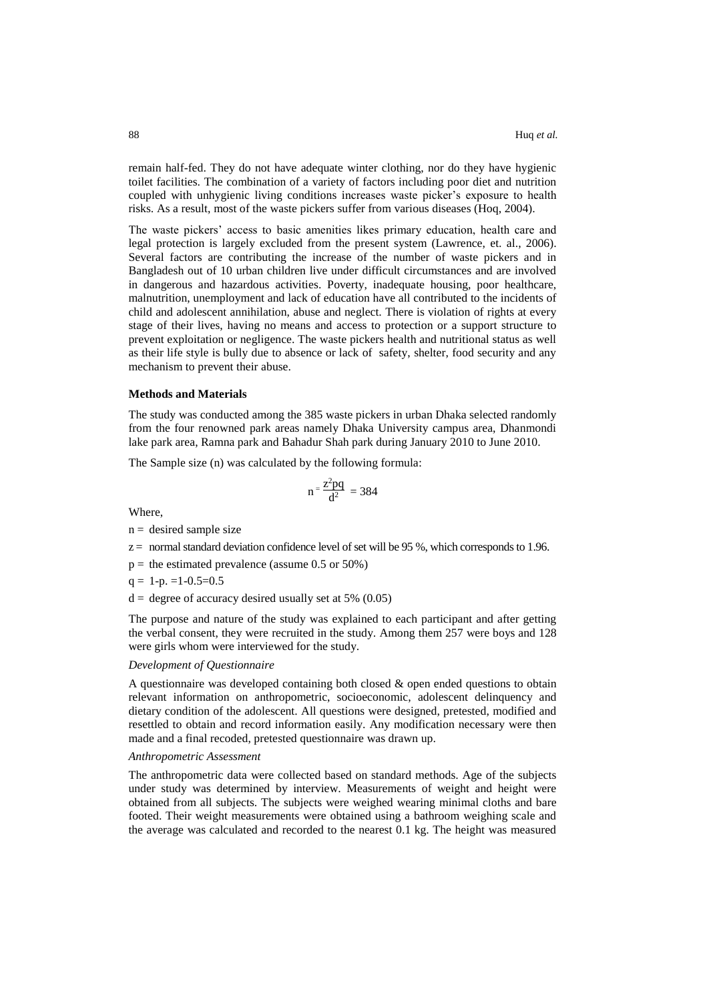remain half-fed. They do not have adequate winter clothing, nor do they have hygienic toilet facilities. The combination of a variety of factors including poor diet and nutrition coupled with unhygienic living conditions increases waste picker's exposure to health risks. As a result, most of the waste pickers suffer from various diseases (Hoq, 2004).

The waste pickers' access to basic amenities likes primary education, health care and legal protection is largely excluded from the present system (Lawrence, et. al., 2006). Several factors are contributing the increase of the number of waste pickers and in Bangladesh out of 10 urban children live under difficult circumstances and are involved in dangerous and hazardous activities. Poverty, inadequate housing, poor healthcare, malnutrition, unemployment and lack of education have all contributed to the incidents of child and adolescent annihilation, abuse and neglect. There is violation of rights at every stage of their lives, having no means and access to protection or a support structure to prevent exploitation or negligence. The waste pickers health and nutritional status as well as their life style is bully due to absence or lack of safety, shelter, food security and any mechanism to prevent their abuse.

### **Methods and Materials**

The study was conducted among the 385 waste pickers in urban Dhaka selected randomly from the four renowned park areas namely Dhaka University campus area, Dhanmondi lake park area, Ramna park and Bahadur Shah park during January 2010 to June 2010.

The Sample size (n) was calculated by the following formula:

Where,

$$
n=\frac{z^2pq}{d^2}\ =384
$$

 $n =$  desired sample size

- $z =$  normal standard deviation confidence level of set will be 95 %, which corresponds to 1.96.
- $p =$  the estimated prevalence (assume 0.5 or 50%)
- $q = 1-p. =1-0.5=0.5$
- $d =$  degree of accuracy desired usually set at 5% (0.05)

The purpose and nature of the study was explained to each participant and after getting the verbal consent, they were recruited in the study. Among them 257 were boys and 128 were girls whom were interviewed for the study.

#### *Development of Questionnaire*

A questionnaire was developed containing both closed  $\&$  open ended questions to obtain relevant information on anthropometric, socioeconomic, adolescent delinquency and dietary condition of the adolescent. All questions were designed, pretested, modified and resettled to obtain and record information easily. Any modification necessary were then made and a final recoded, pretested questionnaire was drawn up.

#### *Anthropometric Assessment*

The anthropometric data were collected based on standard methods. Age of the subjects under study was determined by interview. Measurements of weight and height were obtained from all subjects. The subjects were weighed wearing minimal cloths and bare footed. Their weight measurements were obtained using a bathroom weighing scale and the average was calculated and recorded to the nearest 0.1 kg. The height was measured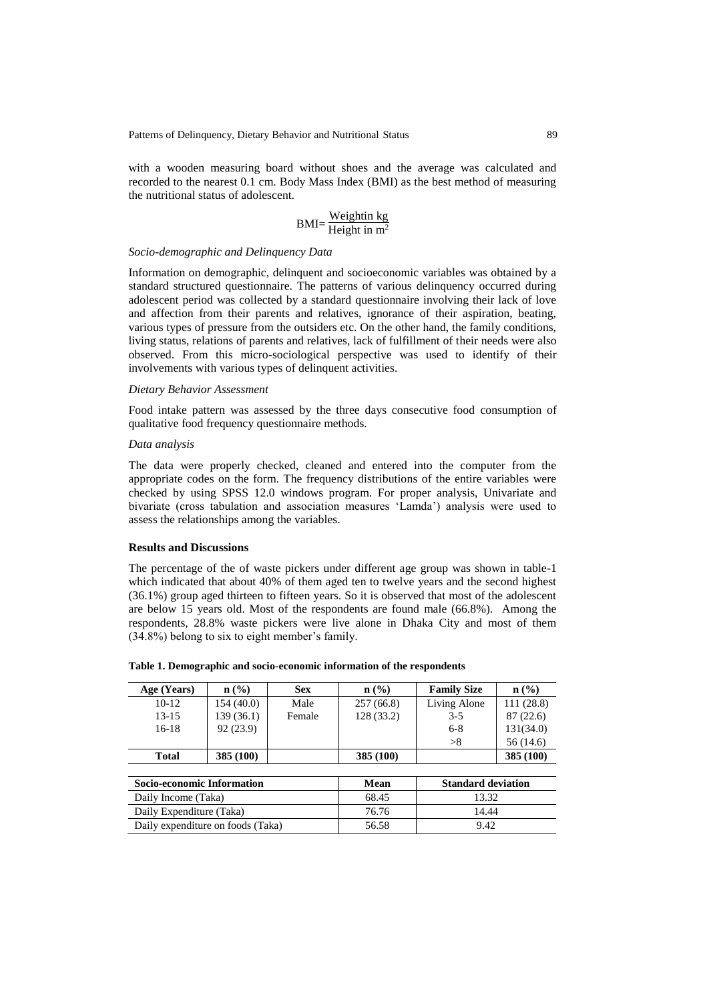with a wooden measuring board without shoes and the average was calculated and recorded to the nearest 0.1 cm. Body Mass Index (BMI) as the best method of measuring the nutritional status of adolescent.

$$
BMI = \frac{Weight in kg}{Height in m^2}
$$

# *Socio-demographic and Delinquency Data*

Information on demographic, delinquent and socioeconomic variables was obtained by a standard structured questionnaire. The patterns of various delinquency occurred during adolescent period was collected by a standard questionnaire involving their lack of love and affection from their parents and relatives, ignorance of their aspiration, beating, various types of pressure from the outsiders etc. On the other hand, the family conditions, living status, relations of parents and relatives, lack of fulfillment of their needs were also observed. From this micro-sociological perspective was used to identify of their involvements with various types of delinquent activities.

### *Dietary Behavior Assessment*

Food intake pattern was assessed by the three days consecutive food consumption of qualitative food frequency questionnaire methods.

### *Data analysis*

The data were properly checked, cleaned and entered into the computer from the appropriate codes on the form. The frequency distributions of the entire variables were checked by using SPSS 12.0 windows program. For proper analysis, Univariate and bivariate (cross tabulation and association measures 'Lamda') analysis were used to assess the relationships among the variables.

### **Results and Discussions**

The percentage of the of waste pickers under different age group was shown in table-1 which indicated that about 40% of them aged ten to twelve years and the second highest (36.1%) group aged thirteen to fifteen years. So it is observed that most of the adolescent are below 15 years old. Most of the respondents are found male (66.8%). Among the respondents, 28.8% waste pickers were live alone in Dhaka City and most of them (34.8%) belong to six to eight member's family.

| Age (Years)                       | $n\left(\frac{9}{6}\right)$ | <b>Sex</b> | $n\left(\frac{9}{6}\right)$ | <b>Family Size</b>        | n (%)      |  |  |  |  |  |
|-----------------------------------|-----------------------------|------------|-----------------------------|---------------------------|------------|--|--|--|--|--|
| $10-12$                           | 154(40.0)                   | Male       | 257(66.8)                   | Living Alone              | 111 (28.8) |  |  |  |  |  |
| $13 - 15$                         | 139 (36.1)                  | Female     | 128(33.2)                   | $3 - 5$                   | 87(22.6)   |  |  |  |  |  |
| $16-18$                           | 92(23.9)                    |            |                             | $6 - 8$                   | 131(34.0)  |  |  |  |  |  |
|                                   |                             |            |                             | >8                        | 56 (14.6)  |  |  |  |  |  |
| <b>Total</b>                      | 385 (100)                   |            | 385 (100)                   |                           | 385 (100)  |  |  |  |  |  |
|                                   |                             |            |                             |                           |            |  |  |  |  |  |
| <b>Socio-economic Information</b> |                             |            | Mean                        | <b>Standard deviation</b> |            |  |  |  |  |  |
| Daily Income (Taka)               |                             |            | 68.45                       | 13.32                     |            |  |  |  |  |  |
| Daily Expenditure (Taka)          |                             |            | 76.76                       | 14.44                     |            |  |  |  |  |  |
| Daily expenditure on foods (Taka) |                             |            | 56.58                       | 9.42                      |            |  |  |  |  |  |

**Table 1. Demographic and socio-economic information of the respondents**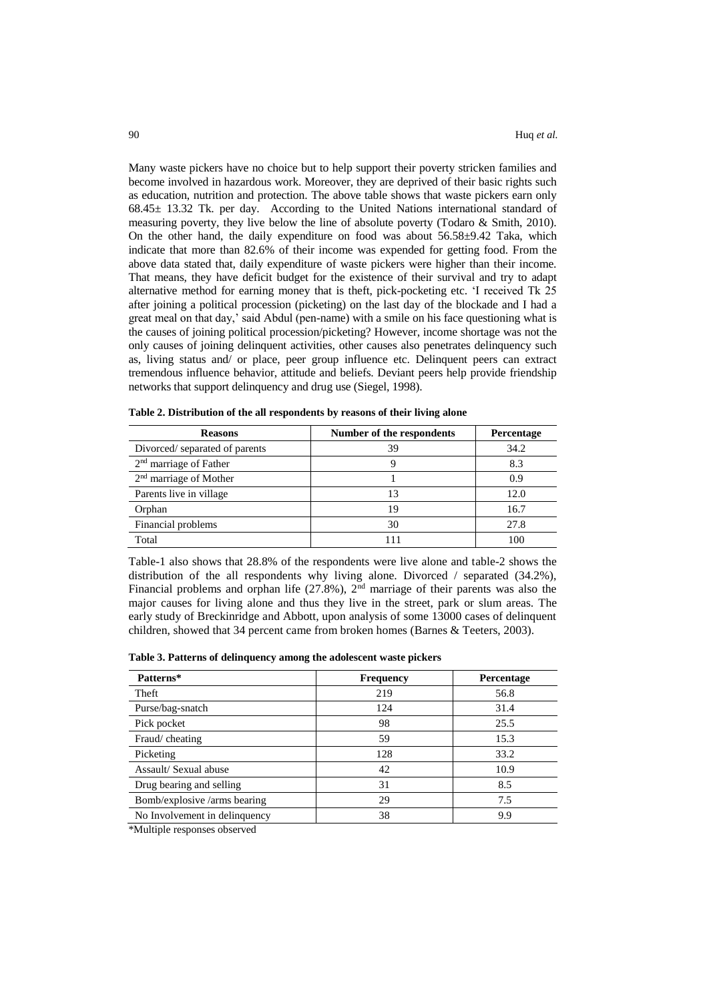Many waste pickers have no choice but to help support their poverty stricken families and become involved in hazardous work. Moreover, they are deprived of their basic rights such as education, nutrition and protection. The above table shows that waste pickers earn only 68.45± 13.32 Tk. per day. According to the United Nations international standard of measuring poverty, they live below the line of absolute poverty (Todaro & Smith, 2010). On the other hand, the daily expenditure on food was about  $56.58\pm9.42$  Taka, which indicate that more than 82.6% of their income was expended for getting food. From the above data stated that, daily expenditure of waste pickers were higher than their income. That means, they have deficit budget for the existence of their survival and try to adapt alternative method for earning money that is theft, pick-pocketing etc. 'I received Tk 25 after joining a political procession (picketing) on the last day of the blockade and I had a great meal on that day,' said Abdul (pen-name) with a smile on his face questioning what is the causes of joining political procession/picketing? However, income shortage was not the only causes of joining delinquent activities, other causes also penetrates delinquency such as, living status and/ or place, peer group influence etc. Delinquent peers can extract tremendous influence behavior, attitude and beliefs. Deviant peers help provide friendship networks that support delinquency and drug use (Siegel, 1998).

| <b>Reasons</b>                | Number of the respondents | Percentage |
|-------------------------------|---------------------------|------------|
| Divorced/separated of parents | 39                        | 34.2       |
| $2nd$ marriage of Father      | ч                         | 8.3        |
| $2nd$ marriage of Mother      |                           | 0.9        |
| Parents live in village       | 13                        | 12.0       |
| Orphan                        | 19                        | 16.7       |
| Financial problems            | 30                        | 27.8       |
| Total                         |                           | 100        |

**Table 2. Distribution of the all respondents by reasons of their living alone** 

Table-1 also shows that 28.8% of the respondents were live alone and table-2 shows the distribution of the all respondents why living alone. Divorced / separated (34.2%), Financial problems and orphan life  $(27.8\%)$ ,  $2<sup>nd</sup>$  marriage of their parents was also the major causes for living alone and thus they live in the street, park or slum areas. The early study of Breckinridge and Abbott, upon analysis of some 13000 cases of delinquent children, showed that 34 percent came from broken homes (Barnes & Teeters, 2003).

|  |  | Table 3. Patterns of delinquency among the adolescent waste pickers |  |  |  |  |
|--|--|---------------------------------------------------------------------|--|--|--|--|
|--|--|---------------------------------------------------------------------|--|--|--|--|

| Patterns*                     | <b>Frequency</b> | <b>Percentage</b> |
|-------------------------------|------------------|-------------------|
| Theft                         | 219              | 56.8              |
| Purse/bag-snatch              | 124              | 31.4              |
| Pick pocket                   | 98               | 25.5              |
| Fraud/cheating                | 59               | 15.3              |
| Picketing                     | 128              | 33.2              |
| Assault/Sexual abuse          | 42               | 10.9              |
| Drug bearing and selling      | 31               | 8.5               |
| Bomb/explosive /arms bearing  | 29               | 7.5               |
| No Involvement in delinquency | 38               | 9.9               |

\*Multiple responses observed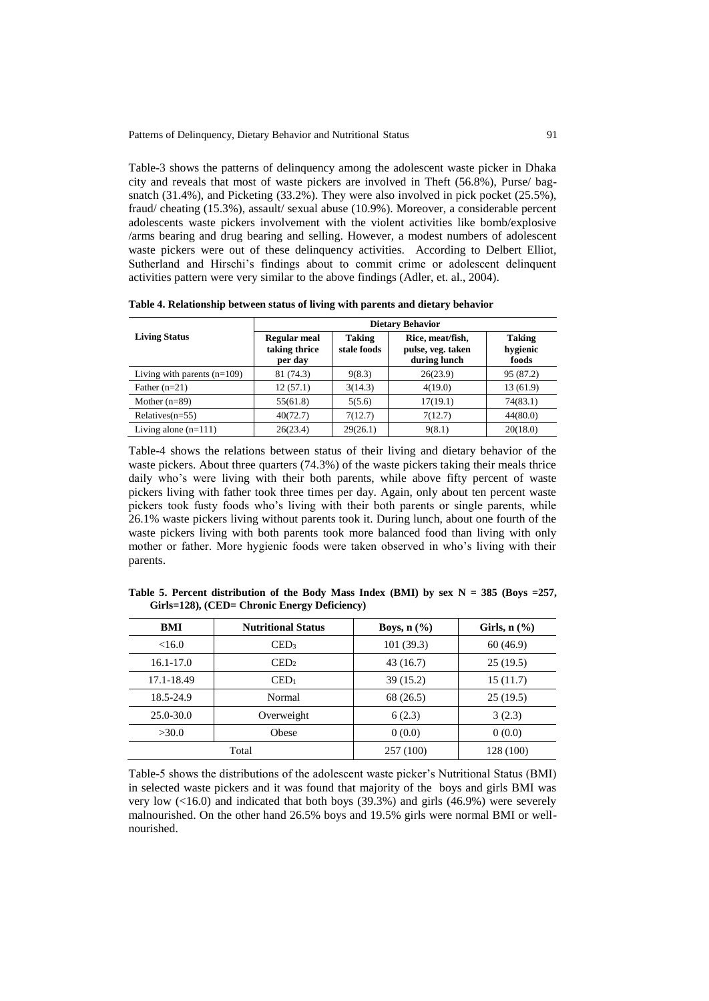Table-3 shows the patterns of delinquency among the adolescent waste picker in Dhaka city and reveals that most of waste pickers are involved in Theft (56.8%), Purse/ bagsnatch (31.4%), and Picketing (33.2%). They were also involved in pick pocket (25.5%), fraud/ cheating (15.3%), assault/ sexual abuse (10.9%). Moreover, a considerable percent adolescents waste pickers involvement with the violent activities like bomb/explosive /arms bearing and drug bearing and selling. However, a modest numbers of adolescent waste pickers were out of these delinquency activities. According to Delbert Elliot, Sutherland and Hirschi's findings about to commit crime or adolescent delinquent activities pattern were very similar to the above findings (Adler, et. al., 2004).

|                               | <b>Dietary Behavior</b>                         |                              |                                                       |                                    |  |  |  |  |  |
|-------------------------------|-------------------------------------------------|------------------------------|-------------------------------------------------------|------------------------------------|--|--|--|--|--|
| <b>Living Status</b>          | <b>Regular meal</b><br>taking thrice<br>per day | <b>Taking</b><br>stale foods | Rice, meat/fish,<br>pulse, veg. taken<br>during lunch | <b>Taking</b><br>hygienic<br>foods |  |  |  |  |  |
| Living with parents $(n=109)$ | 81 (74.3)                                       | 9(8.3)                       | 26(23.9)                                              | 95 (87.2)                          |  |  |  |  |  |
| Father $(n=21)$               | 12(57.1)                                        | 3(14.3)                      | 4(19.0)                                               | 13 (61.9)                          |  |  |  |  |  |
| Mother $(n=89)$               | 55(61.8)                                        | 5(5.6)                       | 17(19.1)                                              | 74(83.1)                           |  |  |  |  |  |
| Relatives $(n=55)$            | 40(72.7)                                        | 7(12.7)                      | 7(12.7)                                               | 44(80.0)                           |  |  |  |  |  |
| Living alone $(n=111)$        | 26(23.4)                                        | 29(26.1)                     | 9(8.1)                                                | 20(18.0)                           |  |  |  |  |  |

Table-4 shows the relations between status of their living and dietary behavior of the waste pickers. About three quarters (74.3%) of the waste pickers taking their meals thrice daily who's were living with their both parents, while above fifty percent of waste pickers living with father took three times per day. Again, only about ten percent waste pickers took fusty foods who's living with their both parents or single parents, while 26.1% waste pickers living without parents took it. During lunch, about one fourth of the waste pickers living with both parents took more balanced food than living with only mother or father. More hygienic foods were taken observed in who's living with their parents.

| BMI           | <b>Nutritional Status</b> | Boys, $n$ $(\%)$ | Girls, $n$ $(\%)$ |  |
|---------------|---------------------------|------------------|-------------------|--|
| <16.0         | $\mathrm{LED}_3$          | 101(39.3)        | 60(46.9)          |  |
| $16.1 - 17.0$ | $\mathrm{LED}_2$          | 43(16.7)         | 25(19.5)          |  |
| 17.1-18.49    | $\text{CED}_1$            | 39(15.2)         | 15(11.7)          |  |
| 18.5-24.9     | Normal                    | 68 (26.5)        | 25(19.5)          |  |
| 25.0-30.0     | Overweight                | 6(2.3)           | 3(2.3)            |  |
| >30.0         | Obese                     | 0(0.0)           | 0(0.0)            |  |
|               | Total                     | 257 (100)        | 128 (100)         |  |

**Table 5. Percent distribution of the Body Mass Index (BMI) by sex N = 385 (Boys =257, Girls=128), (CED= Chronic Energy Deficiency)**

Table-5 shows the distributions of the adolescent waste picker's Nutritional Status (BMI) in selected waste pickers and it was found that majority of the boys and girls BMI was very low (<16.0) and indicated that both boys (39.3%) and girls (46.9%) were severely malnourished. On the other hand 26.5% boys and 19.5% girls were normal BMI or wellnourished.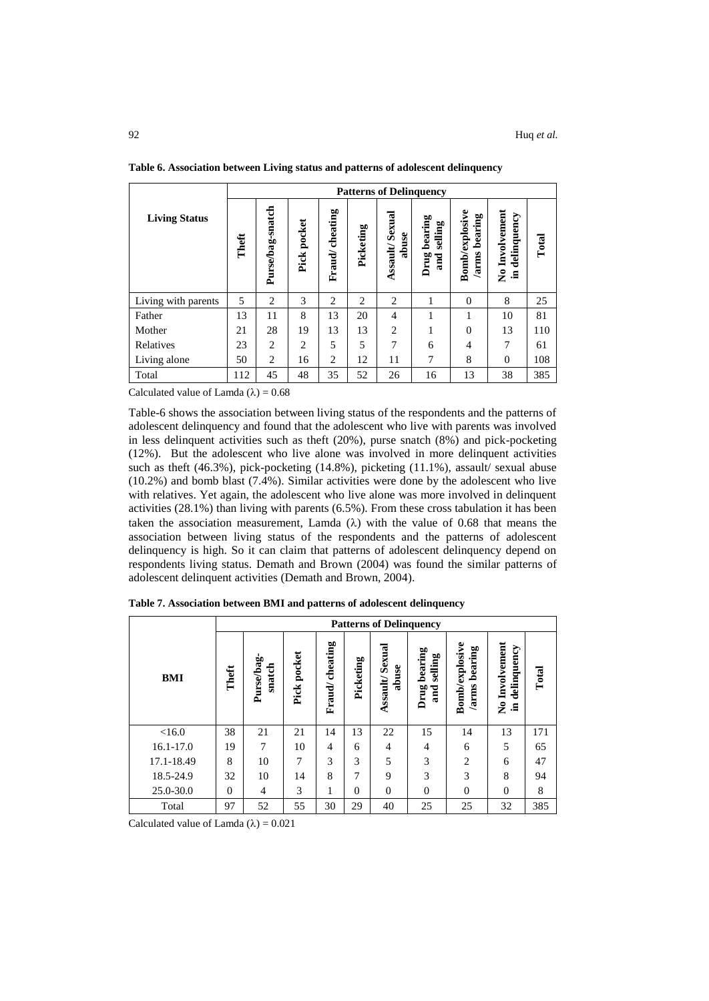|                      | <b>Patterns of Delinquency</b> |                  |             |                |                |                                |                                   |                                          |                                     |       |
|----------------------|--------------------------------|------------------|-------------|----------------|----------------|--------------------------------|-----------------------------------|------------------------------------------|-------------------------------------|-------|
| <b>Living Status</b> | Theft                          | Purse/bag-snatch | Pick pocket | Fraud/cheating | Picketing      | <b>Assault/Sexual</b><br>abuse | bearing<br>selling<br>Drug<br>and | <b>Bomb/explosive</b><br>bearing<br>arms | No Involvement<br>delinquency<br>트. | Total |
| Living with parents  | 5                              | 2                | 3           | $\overline{2}$ | $\overline{c}$ | $\overline{2}$                 |                                   | $\Omega$                                 | 8                                   | 25    |
| Father               | 13                             | 11               | 8           | 13             | 20             | $\overline{4}$                 | 1                                 | 1                                        | 10                                  | 81    |
| Mother               | 21                             | 28               | 19          | 13             | 13             | $\overline{2}$                 | 1                                 | $\Omega$                                 | 13                                  | 110   |
| Relatives            | 23                             | 2                | 2           | 5              | 5              | $\overline{7}$                 | 6                                 | 4                                        | 7                                   | 61    |
| Living alone         | 50                             | 2                | 16          | $\overline{c}$ | 12             | 11                             | 7                                 | 8                                        | $\overline{0}$                      | 108   |
| Total                | 112                            | 45               | 48          | 35             | 52             | 26                             | 16                                | 13                                       | 38                                  | 385   |

**Table 6. Association between Living status and patterns of adolescent delinquency**

Calculated value of Lamda  $(\lambda) = 0.68$ 

Table-6 shows the association between living status of the respondents and the patterns of adolescent delinquency and found that the adolescent who live with parents was involved in less delinquent activities such as theft (20%), purse snatch (8%) and pick-pocketing (12%). But the adolescent who live alone was involved in more delinquent activities such as theft (46.3%), pick-pocketing (14.8%), picketing (11.1%), assault/ sexual abuse (10.2%) and bomb blast (7.4%). Similar activities were done by the adolescent who live with relatives. Yet again, the adolescent who live alone was more involved in delinquent activities (28.1%) than living with parents (6.5%). From these cross tabulation it has been taken the association measurement, Lamda  $(\lambda)$  with the value of 0.68 that means the association between living status of the respondents and the patterns of adolescent delinquency is high. So it can claim that patterns of adolescent delinquency depend on respondents living status. Demath and Brown (2004) was found the similar patterns of adolescent delinquent activities (Demath and Brown, 2004).

|               |          | <b>Patterns of Delinquency</b> |                |                |           |                             |                                   |                                          |                                                          |       |  |
|---------------|----------|--------------------------------|----------------|----------------|-----------|-----------------------------|-----------------------------------|------------------------------------------|----------------------------------------------------------|-------|--|
| <b>BMI</b>    | Theft    | Purse/bag-<br>snatch           | pocket<br>Pick | Fraud/cheating | Picketing | Sexual<br>abuse<br>Assault/ | bearing<br>selling<br>Drug<br>and | <b>Bomb/explosive</b><br>bearing<br>arms | Involvement<br>delinquency<br>$\tilde{\mathbf{z}}$<br>.크 | Total |  |
| <16.0         | 38       | 21                             | 21             | 14             | 13        | 22                          | 15                                | 14                                       | 13                                                       | 171   |  |
| $16.1 - 17.0$ | 19       | 7                              | 10             | 4              | 6         | $\overline{4}$              | 4                                 | 6                                        | 5                                                        | 65    |  |
| 17.1-18.49    | 8        | 10                             | 7              | 3              | 3         | 5                           | 3                                 | $\overline{c}$                           | 6                                                        | 47    |  |
| 18.5-24.9     | 32       | 10                             | 14             | 8              | 7         | 9                           | 3                                 | 3                                        | 8                                                        | 94    |  |
| 25.0-30.0     | $\Omega$ | $\overline{4}$                 | 3              |                | $\Omega$  | $\Omega$                    | $\Omega$                          | $\theta$                                 | $\Omega$                                                 | 8     |  |
| Total         | 97       | 52                             | 55             | 30             | 29        | 40                          | 25                                | 25                                       | 32                                                       | 385   |  |

**Table 7. Association between BMI and patterns of adolescent delinquency**

Calculated value of Lamda  $(\lambda) = 0.021$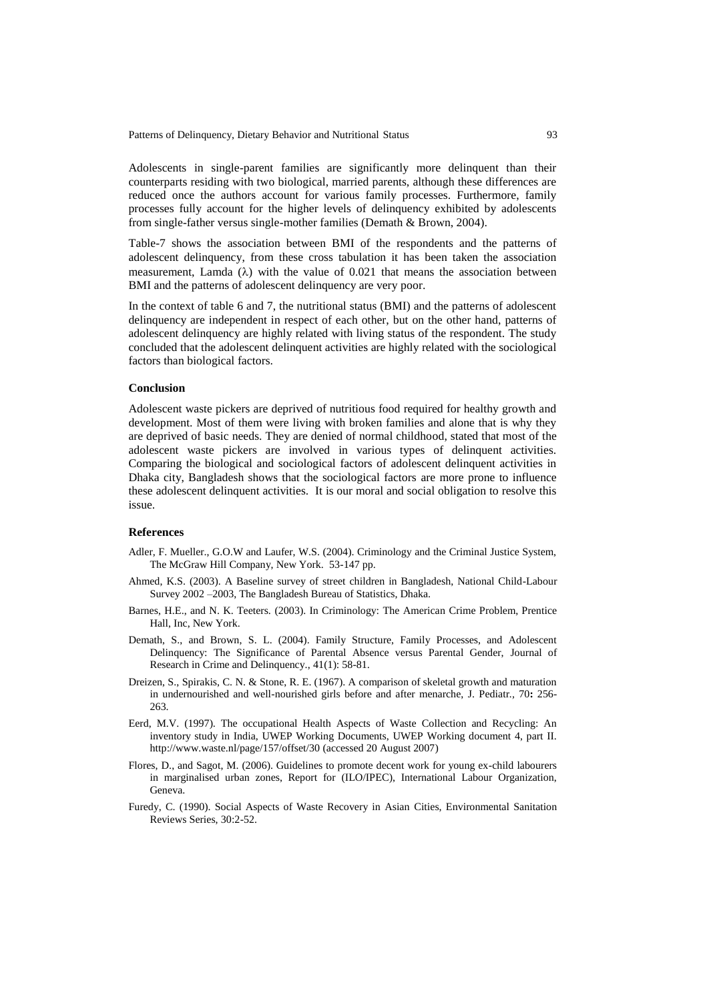Patterns of Delinquency, Dietary Behavior and Nutritional Status 93

Adolescents in single-parent families are significantly more delinquent than their counterparts residing with two biological, married parents, although these differences are reduced once the authors account for various family processes. Furthermore, family processes fully account for the higher levels of delinquency exhibited by adolescents from single-father versus single-mother families (Demath & Brown, 2004).

Table-7 shows the association between BMI of the respondents and the patterns of adolescent delinquency, from these cross tabulation it has been taken the association measurement, Lamda  $(\lambda)$  with the value of 0.021 that means the association between BMI and the patterns of adolescent delinquency are very poor.

In the context of table 6 and 7, the nutritional status (BMI) and the patterns of adolescent delinquency are independent in respect of each other, but on the other hand, patterns of adolescent delinquency are highly related with living status of the respondent. The study concluded that the adolescent delinquent activities are highly related with the sociological factors than biological factors.

# **Conclusion**

Adolescent waste pickers are deprived of nutritious food required for healthy growth and development. Most of them were living with broken families and alone that is why they are deprived of basic needs. They are denied of normal childhood, stated that most of the adolescent waste pickers are involved in various types of delinquent activities. Comparing the biological and sociological factors of adolescent delinquent activities in Dhaka city, Bangladesh shows that the sociological factors are more prone to influence these adolescent delinquent activities. It is our moral and social obligation to resolve this issue.

#### **References**

- Adler, F. Mueller., G.O.W and Laufer, W.S. (2004). Criminology and the Criminal Justice System, The McGraw Hill Company, New York. 53-147 pp.
- Ahmed, K.S. (2003). A Baseline survey of street children in Bangladesh, National Child-Labour Survey 2002 –2003, The Bangladesh Bureau of Statistics, Dhaka.
- Barnes, H.E., and N. K. Teeters. (2003). In Criminology: The American Crime Problem, Prentice Hall, Inc, New York.
- Demath, S., and Brown, S. L. (2004). Family Structure, Family Processes, and Adolescent Delinquency: The Significance of Parental Absence versus Parental Gender, Journal of Research in Crime and Delinquency., 41(1): 58-81.
- Dreizen, S., Spirakis, C. N. & Stone, R. E. (1967). A comparison of skeletal growth and maturation in undernourished and well-nourished girls before and after menarche, J. Pediatr*.,* 70**:** 256- 263.
- Eerd, M.V. (1997). The occupational Health Aspects of Waste Collection and Recycling: An inventory study in India, UWEP Working Documents, UWEP Working document 4, part II. <http://www.waste.nl/page/157/offset/30> (accessed 20 August 2007)
- Flores, D., and Sagot, M. (2006). Guidelines to promote decent work for young ex-child labourers in marginalised urban zones, Report for (ILO/IPEC), International Labour Organization, Geneva.
- Furedy, C. (1990). Social Aspects of Waste Recovery in Asian Cities, Environmental Sanitation Reviews Series, 30:2-52.